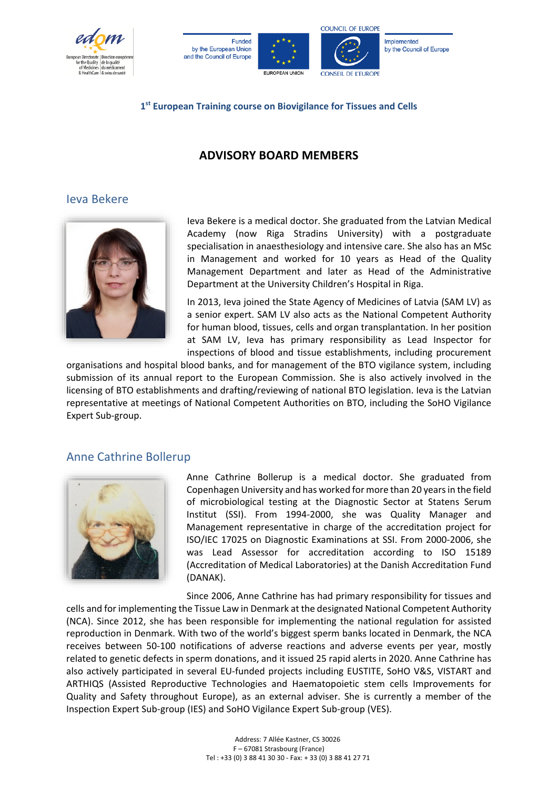







Implemented by the Council of Europe

#### **1st European Training course on Biovigilance for Tissues and Cells**

# **ADVISORY BOARD MEMBERS**

## Ieva Bekere



Ieva Bekere is a medical doctor. She graduated from the Latvian Medical Academy (now Riga Stradins University) with a postgraduate specialisation in anaesthesiology and intensive care. She also has an MSc in Management and worked for 10 years as Head of the Quality Management Department and later as Head of the Administrative Department at the University Children's Hospital in Riga.

In 2013, Ieva joined the State Agency of Medicines of Latvia (SAM LV) as a senior expert. SAM LV also acts as the National Competent Authority for human blood, tissues, cells and organ transplantation. In her position at SAM LV, Ieva has primary responsibility as Lead Inspector for inspections of blood and tissue establishments, including procurement

organisations and hospital blood banks, and for management of the BTO vigilance system, including submission of its annual report to the European Commission. She is also actively involved in the licensing of BTO establishments and drafting/reviewing of national BTO legislation. Ieva is the Latvian representative at meetings of National Competent Authorities on BTO, including the SoHO Vigilance Expert Sub-group.

## Anne Cathrine Bollerup



Anne Cathrine Bollerup is a medical doctor. She graduated from Copenhagen University and has worked for more than 20 years in the field of microbiological testing at the Diagnostic Sector at Statens Serum Institut (SSI). From 1994-2000, she was Quality Manager and Management representative in charge of the accreditation project for ISO/IEC 17025 on Diagnostic Examinations at SSI. From 2000-2006, she was Lead Assessor for accreditation according to ISO 15189 (Accreditation of Medical Laboratories) at the Danish Accreditation Fund (DANAK).

Since 2006, Anne Cathrine has had primary responsibility for tissues and cells and for implementing the Tissue Law in Denmark at the designated National Competent Authority (NCA). Since 2012, she has been responsible for implementing the national regulation for assisted reproduction in Denmark. With two of the world's biggest sperm banks located in Denmark, the NCA receives between 50-100 notifications of adverse reactions and adverse events per year, mostly related to genetic defects in sperm donations, and it issued 25 rapid alerts in 2020. Anne Cathrine has also actively participated in several EU-funded projects including EUSTITE, SoHO V&S, VISTART and ARTHIQS (Assisted Reproductive Technologies and Haematopoietic stem cells Improvements for Quality and Safety throughout Europe), as an external adviser. She is currently a member of the Inspection Expert Sub-group (IES) and SoHO Vigilance Expert Sub-group (VES).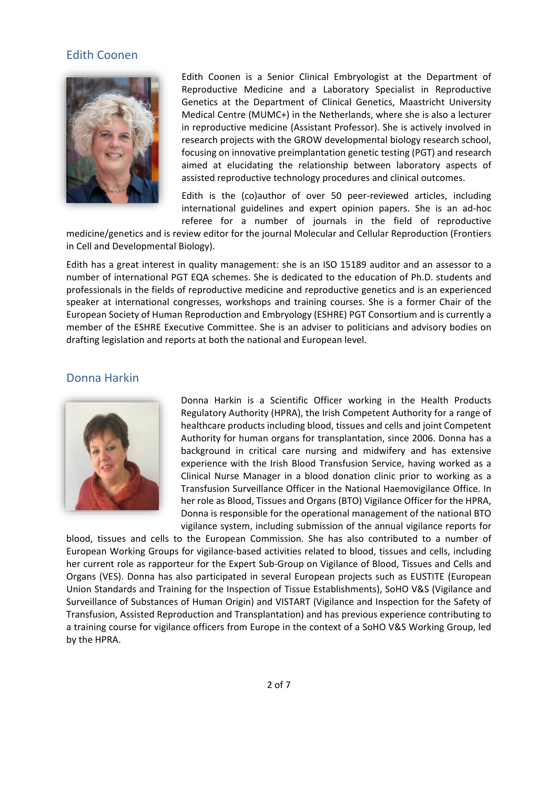#### Edith Coonen



Edith Coonen is a Senior Clinical Embryologist at the Department of Reproductive Medicine and a Laboratory Specialist in Reproductive Genetics at the Department of Clinical Genetics, Maastricht University Medical Centre (MUMC+) in the Netherlands, where she is also a lecturer in reproductive medicine (Assistant Professor). She is actively involved in research projects with the GROW developmental biology research school, focusing on innovative preimplantation genetic testing (PGT) and research aimed at elucidating the relationship between laboratory aspects of assisted reproductive technology procedures and clinical outcomes.

Edith is the (co)author of over 50 peer-reviewed articles, including international guidelines and expert opinion papers. She is an ad-hoc referee for a number of journals in the field of reproductive

medicine/genetics and is review editor for the journal Molecular and Cellular Reproduction (Frontiers in Cell and Developmental Biology).

Edith has a great interest in quality management: she is an ISO 15189 auditor and an assessor to a number of international PGT EQA schemes. She is dedicated to the education of Ph.D. students and professionals in the fields of reproductive medicine and reproductive genetics and is an experienced speaker at international congresses, workshops and training courses. She is a former Chair of the European Society of Human Reproduction and Embryology (ESHRE) PGT Consortium and is currently a member of the ESHRE Executive Committee. She is an adviser to politicians and advisory bodies on drafting legislation and reports at both the national and European level.

#### Donna Harkin



Donna Harkin is a Scientific Officer working in the Health Products Regulatory Authority (HPRA), the Irish Competent Authority for a range of healthcare products including blood, tissues and cells and joint Competent Authority for human organs for transplantation, since 2006. Donna has a background in critical care nursing and midwifery and has extensive experience with the Irish Blood Transfusion Service, having worked as a Clinical Nurse Manager in a blood donation clinic prior to working as a Transfusion Surveillance Officer in the National Haemovigilance Office. In her role as Blood, Tissues and Organs (BTO) Vigilance Officer for the HPRA, Donna is responsible for the operational management of the national BTO vigilance system, including submission of the annual vigilance reports for

blood, tissues and cells to the European Commission. She has also contributed to a number of European Working Groups for vigilance-based activities related to blood, tissues and cells, including her current role as rapporteur for the Expert Sub-Group on Vigilance of Blood, Tissues and Cells and Organs (VES). Donna has also participated in several European projects such as EUSTITE (European Union Standards and Training for the Inspection of Tissue Establishments), SoHO V&S (Vigilance and Surveillance of Substances of Human Origin) and VISTART (Vigilance and Inspection for the Safety of Transfusion, Assisted Reproduction and Transplantation) and has previous experience contributing to a training course for vigilance officers from Europe in the context of a SoHO V&S Working Group, led by the HPRA.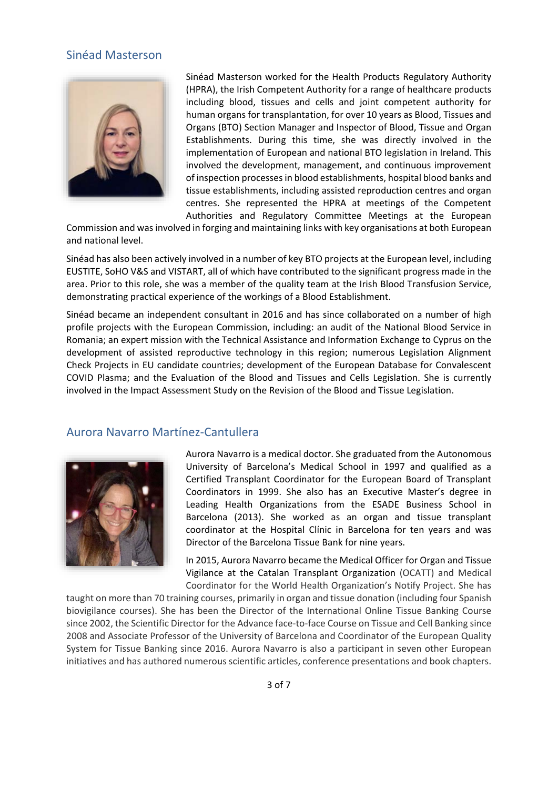#### Sinéad Masterson



Sinéad Masterson worked for the Health Products Regulatory Authority (HPRA), the Irish Competent Authority for a range of healthcare products including blood, tissues and cells and joint competent authority for human organs for transplantation, for over 10 years as Blood, Tissues and Organs (BTO) Section Manager and Inspector of Blood, Tissue and Organ Establishments. During this time, she was directly involved in the implementation of European and national BTO legislation in Ireland. This involved the development, management, and continuous improvement of inspection processes in blood establishments, hospital blood banks and tissue establishments, including assisted reproduction centres and organ centres. She represented the HPRA at meetings of the Competent Authorities and Regulatory Committee Meetings at the European

Commission and was involved in forging and maintaining links with key organisations at both European and national level.

Sinéad has also been actively involved in a number of key BTO projects at the European level, including EUSTITE, SoHO V&S and VISTART, all of which have contributed to the significant progress made in the area. Prior to this role, she was a member of the quality team at the Irish Blood Transfusion Service, demonstrating practical experience of the workings of a Blood Establishment.

Sinéad became an independent consultant in 2016 and has since collaborated on a number of high profile projects with the European Commission, including: an audit of the National Blood Service in Romania; an expert mission with the Technical Assistance and Information Exchange to Cyprus on the development of assisted reproductive technology in this region; numerous Legislation Alignment Check Projects in EU candidate countries; development of the European Database for Convalescent COVID Plasma; and the Evaluation of the Blood and Tissues and Cells Legislation. She is currently involved in the Impact Assessment Study on the Revision of the Blood and Tissue Legislation.

#### Aurora Navarro Martínez-Cantullera



Aurora Navarro is a medical doctor. She graduated from the Autonomous University of Barcelona's Medical School in 1997 and qualified as a Certified Transplant Coordinator for the European Board of Transplant Coordinators in 1999. She also has an Executive Master's degree in Leading Health Organizations from the ESADE Business School in Barcelona (2013). She worked as an organ and tissue transplant coordinator at the Hospital Clínic in Barcelona for ten years and was Director of the Barcelona Tissue Bank for nine years.

In 2015, Aurora Navarro became the Medical Officer for Organ and Tissue Vigilance at the Catalan Transplant Organization (OCATT) and Medical Coordinator for the World Health Organization's Notify Project. She has

taught on more than 70 training courses, primarily in organ and tissue donation (including four Spanish biovigilance courses). She has been the Director of the International Online Tissue Banking Course since 2002, the Scientific Director for the Advance face-to-face Course on Tissue and Cell Banking since 2008 and Associate Professor of the University of Barcelona and Coordinator of the European Quality System for Tissue Banking since 2016. Aurora Navarro is also a participant in seven other European initiatives and has authored numerous scientific articles, conference presentations and book chapters.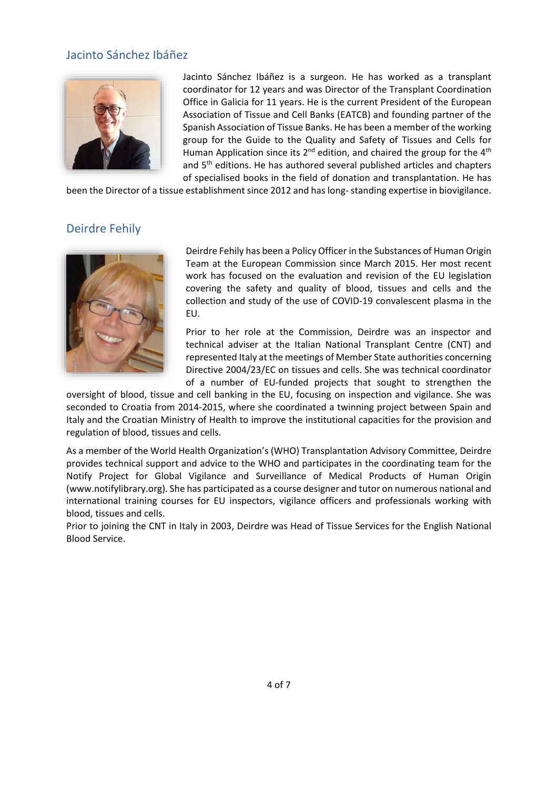## Jacinto Sánchez Ibáñez



Jacinto Sánchez Ibáñez is a surgeon. He has worked as a transplant coordinator for 12 years and was Director of the Transplant Coordination Office in Galicia for 11 years. He is the current President of the European Association of Tissue and Cell Banks (EATCB) and founding partner of the Spanish Association of Tissue Banks. He has been a member of the working group for the Guide to the Quality and Safety of Tissues and Cells for Human Application since its  $2^{nd}$  edition, and chaired the group for the  $4^{th}$ and 5<sup>th</sup> editions. He has authored several published articles and chapters of specialised books in the field of donation and transplantation. He has

been the Director of a tissue establishment since 2012 and has long-standing expertise in biovigilance.

# Deirdre Fehily



Deirdre Fehily has been a Policy Officer in the Substances of Human Origin Team at the European Commission since March 2015. Her most recent work has focused on the evaluation and revision of the EU legislation covering the safety and quality of blood, tissues and cells and the collection and study of the use of COVID-19 convalescent plasma in the EU.

Prior to her role at the Commission, Deirdre was an inspector and technical adviser at the Italian National Transplant Centre (CNT) and represented Italy at the meetings of Member State authorities concerning Directive 2004/23/EC on tissues and cells. She was technical coordinator of a number of EU-funded projects that sought to strengthen the

oversight of blood, tissue and cell banking in the EU, focusing on inspection and vigilance. She was seconded to Croatia from 2014-2015, where she coordinated a twinning project between Spain and Italy and the Croatian Ministry of Health to improve the institutional capacities for the provision and regulation of blood, tissues and cells.

As a member of the World Health Organization's (WHO) Transplantation Advisory Committee, Deirdre provides technical support and advice to the WHO and participates in the coordinating team for the Notify Project for Global Vigilance and Surveillance of Medical Products of Human Origin [\(www.notifylibrary.org\)](http://www.notifylibrary.org/). She has participated as a course designer and tutor on numerous national and international training courses for EU inspectors, vigilance officers and professionals working with blood, tissues and cells.

Prior to joining the CNT in Italy in 2003, Deirdre was Head of Tissue Services for the English National Blood Service.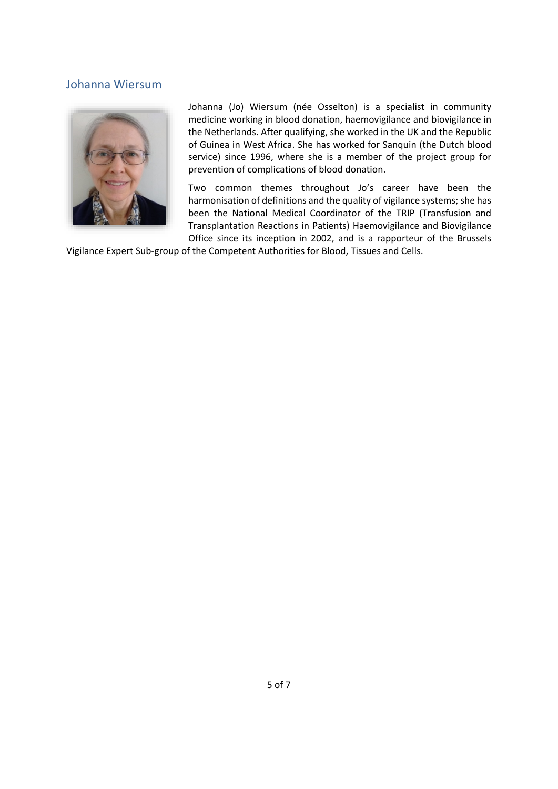## Johanna Wiersum



Johanna (Jo) Wiersum (née Osselton) is a specialist in community medicine working in blood donation, haemovigilance and biovigilance in the Netherlands. After qualifying, she worked in the UK and the Republic of Guinea in West Africa. She has worked for Sanquin (the Dutch blood service) since 1996, where she is a member of the project group for prevention of complications of blood donation.

Two common themes throughout Jo's career have been the harmonisation of definitions and the quality of vigilance systems; she has been the National Medical Coordinator of the TRIP (Transfusion and Transplantation Reactions in Patients) Haemovigilance and Biovigilance Office since its inception in 2002, and is a rapporteur of the Brussels

Vigilance Expert Sub-group of the Competent Authorities for Blood, Tissues and Cells.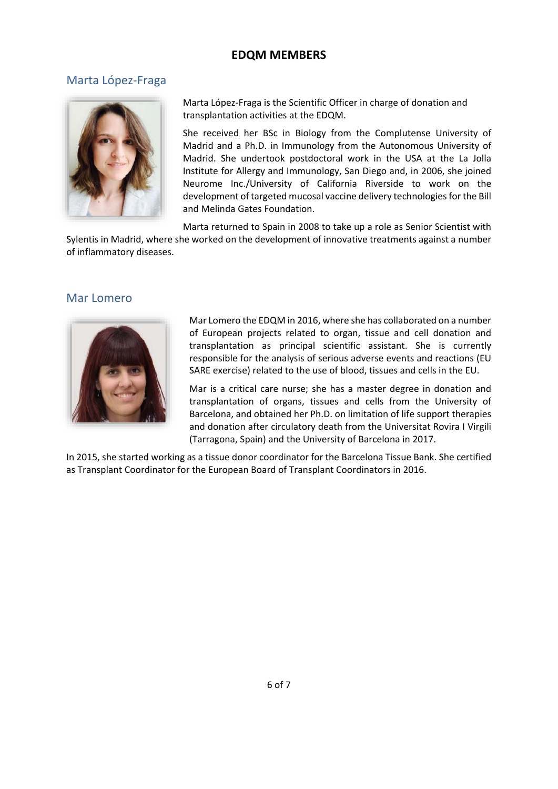# **EDQM MEMBERS**

# Marta López-Fraga



Marta López-Fraga is the Scientific Officer in charge of donation and transplantation activities at the EDQM.

She received her BSc in Biology from the Complutense University of Madrid and a Ph.D. in Immunology from the Autonomous University of Madrid. She undertook postdoctoral work in the USA at the La Jolla Institute for Allergy and Immunology, San Diego and, in 2006, she joined Neurome Inc./University of California Riverside to work on the development of targeted mucosal vaccine delivery technologies for the Bill and Melinda Gates Foundation.

Marta returned to Spain in 2008 to take up a role as Senior Scientist with

Sylentis in Madrid, where she worked on the development of innovative treatments against a number of inflammatory diseases.

### Mar Lomero



Mar Lomero the EDQM in 2016, where she has collaborated on a number of European projects related to organ, tissue and cell donation and transplantation as principal scientific assistant. She is currently responsible for the analysis of serious adverse events and reactions (EU SARE exercise) related to the use of blood, tissues and cells in the EU.

Mar is a critical care nurse; she has a master degree in donation and transplantation of organs, tissues and cells from the University of Barcelona, and obtained her Ph.D. on limitation of life support therapies and donation after circulatory death from the Universitat Rovira I Virgili (Tarragona, Spain) and the University of Barcelona in 2017.

In 2015, she started working as a tissue donor coordinator for the Barcelona Tissue Bank. She certified as Transplant Coordinator for the European Board of Transplant Coordinators in 2016.